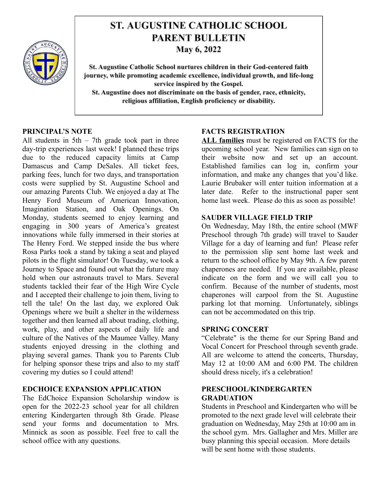

# **ST. AUGUSTINE CATHOLIC SCHOOL PARENT BULLETIN**

May 6, 2022

St. Augustine Catholic School nurtures children in their God-centered faith journey, while promoting academic excellence, individual growth, and life-long service inspired by the Gospel. St. Augustine does not discriminate on the basis of gender, race, ethnicity, religious affiliation, English proficiency or disability.

#### **PRINCIPAL'S NOTE**

All students in  $5th - 7th$  grade took part in three day-trip experiences last week! I planned these trips due to the reduced capacity limits at Camp Damascus and Camp DeSales. All ticket fees, parking fees, lunch for two days, and transportation costs were supplied by St. Augustine School and our amazing Parents Club. We enjoyed a day at The Henry Ford Museum of American Innovation, Imagination Station, and Oak Openings. On Monday, students seemed to enjoy learning and engaging in 300 years of America's greatest innovations while fully immersed in their stories at The Henry Ford. We stepped inside the bus where Rosa Parks took a stand by taking a seat and played pilots in the flight simulator! On Tuesday, we took a Journey to Space and found out what the future may hold when our astronauts travel to Mars. Several students tackled their fear of the High Wire Cycle and I accepted their challenge to join them, living to tell the tale! On the last day, we explored Oak Openings where we built a shelter in the wilderness together and then learned all about trading, clothing, work, play, and other aspects of daily life and culture of the Natives of the Maumee Valley. Many students enjoyed dressing in the clothing and playing several games. Thank you to Parents Club for helping sponsor these trips and also to my staff covering my duties so I could attend!

# **EDCHOICE EXPANSION APPLICATION**

The EdChoice Expansion Scholarship window is open for the 2022-23 school year for all children entering Kindergarten through 8th Grade. Please send your forms and documentation to Mrs. Minnick as soon as possible. Feel free to call the school office with any questions.

# **FACTS REGISTRATION**

**ALL families** must be registered on FACTS for the upcoming school year. New families can sign on to their website now and set up an account. Established families can log in, confirm your information, and make any changes that you'd like. Laurie Brubaker will enter tuition information at a later date. Refer to the instructional paper sent home last week. Please do this as soon as possible!

# **SAUDER VILLAGE FIELD TRIP**

On Wednesday, May 18th, the entire school (MWF Preschool through 7th grade) will travel to Sauder Village for a day of learning and fun! Please refer to the permission slip sent home last week and return to the school office by May 9th. A few parent chaperones are needed. If you are available, please indicate on the form and we will call you to confirm. Because of the number of students, most chaperones will carpool from the St. Augustine parking lot that morning. Unfortunately, siblings can not be accommodated on this trip.

# **SPRING CONCERT**

"Celebrate" is the theme for our Spring Band and Vocal Concert for Preschool through seventh grade. All are welcome to attend the concerts, Thursday, May 12 at 10:00 AM and 6:00 PM. The children should dress nicely, it's a celebration!

# **PRESCHOOL/KINDERGARTEN GRADUATION**

Students in Preschool and Kindergarten who will be promoted to the next grade level will celebrate their graduation on Wednesday, May 25th at 10:00 am in the school gym. Mrs. Gallagher and Mrs. Miller are busy planning this special occasion. More details will be sent home with those students.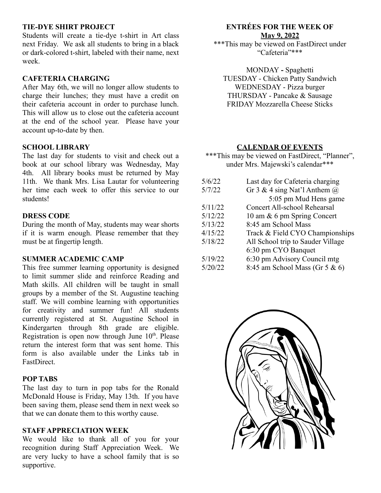#### **TIE-DYE SHIRT PROJECT**

Students will create a tie-dye t-shirt in Art class next Friday. We ask all students to bring in a black or dark-colored t-shirt, labeled with their name, next week.

#### **CAFETERIA CHARGING**

After May 6th, we will no longer allow students to charge their lunches; they must have a credit on their cafeteria account in order to purchase lunch. This will allow us to close out the cafeteria account at the end of the school year. Please have your account up-to-date by then.

#### **SCHOOL LIBRARY**

The last day for students to visit and check out a book at our school library was Wednesday, May 4th. All library books must be returned by May 11th. We thank Mrs. Lisa Lautar for volunteering her time each week to offer this service to our students!

#### **DRESS CODE**

During the month of May, students may wear shorts if it is warm enough. Please remember that they must be at fingertip length.

#### **SUMMER ACADEMIC CAMP**

This free summer learning opportunity is designed to limit summer slide and reinforce Reading and Math skills. All children will be taught in small groups by a member of the St. Augustine teaching staff. We will combine learning with opportunities for creativity and summer fun! All students currently registered at St. Augustine School in Kindergarten through 8th grade are eligible. Registration is open now through June  $10<sup>th</sup>$ . Please return the interest form that was sent home. This form is also available under the Links tab in FastDirect.

#### **POP TABS**

The last day to turn in pop tabs for the Ronald McDonald House is Friday, May 13th. If you have been saving them, please send them in next week so that we can donate them to this worthy cause.

#### **STAFF APPRECIATION WEEK**

We would like to thank all of you for your recognition during Staff Appreciation Week. We are very lucky to have a school family that is so supportive.

# **ENTRÉES FOR THE WEEK OF May 9, 2022**

\*\*\*This may be viewed on FastDirect under "Cafeteria"\*\*\*

MONDAY **-** Spaghetti TUESDAY - Chicken Patty Sandwich WEDNESDAY - Pizza burger THURSDAY - Pancake & Sausage FRIDAY Mozzarella Cheese Sticks

#### **CALENDAR OF EVENTS**

\*\*\*This may be viewed on FastDirect, "Planner", under Mrs. Majewski's calendar\*\*\*

| Last day for Cafeteria charging     |
|-------------------------------------|
| Gr 3 & 4 sing Nat'l Anthem $\omega$ |
| 5:05 pm Mud Hens game               |
| Concert All-school Rehearsal        |
| 10 am & 6 pm Spring Concert         |
| 8:45 am School Mass                 |
| Track & Field CYO Championships     |
| All School trip to Sauder Village   |
| 6:30 pm CYO Banquet                 |
| 6:30 pm Advisory Council mtg        |
| 8:45 am School Mass (Gr 5 $\&$ 6)   |
|                                     |